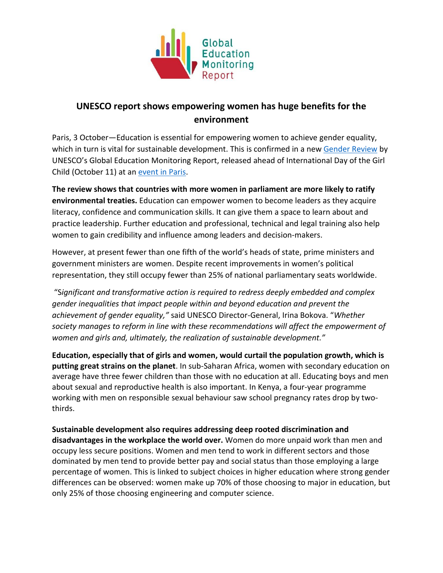

## **UNESCO report shows empowering women has huge benefits for the environment**

Paris, 3 October—Education is essential for empowering women to achieve gender equality, which in turn is vital for sustainable development. This is confirmed in a new [Gender Review](https://bitly.com/EQcounts) by UNESCO's Global Education Monitoring Report, released ahead of International Day of the Girl Child (October 11) at an [event in Paris.](https://www.eventbrite.com/e/education-and-gender-equality-the-perfect-partners-for-development-tickets-27672958564)

**The review shows that countries with more women in parliament are more likely to ratify environmental treaties.** Education can empower women to become leaders as they acquire literacy, confidence and communication skills. It can give them a space to learn about and practice leadership. Further education and professional, technical and legal training also help women to gain credibility and influence among leaders and decision-makers.

However, at present fewer than one fifth of the world's heads of state, prime ministers and government ministers are women. Despite recent improvements in women's political representation, they still occupy fewer than 25% of national parliamentary seats worldwide.

"S*ignificant and transformative action is required to redress deeply embedded and complex gender inequalities that impact people within and beyond education and prevent the achievement of gender equality,"* said UNESCO Director-General, Irina Bokova. "*Whether society manages to reform in line with these recommendations will affect the empowerment of women and girls and, ultimately, the realization of sustainable development."*

**Education, especially that of girls and women, would curtail the population growth, which is putting great strains on the planet**. In sub-Saharan Africa, women with secondary education on average have three fewer children than those with no education at all. Educating boys and men about sexual and reproductive health is also important. In Kenya, a four-year programme working with men on responsible sexual behaviour saw school pregnancy rates drop by twothirds.

**Sustainable development also requires addressing deep rooted discrimination and disadvantages in the workplace the world over.** Women do more unpaid work than men and occupy less secure positions. Women and men tend to work in different sectors and those dominated by men tend to provide better pay and social status than those employing a large percentage of women. This is linked to subject choices in higher education where strong gender differences can be observed: women make up 70% of those choosing to major in education, but only 25% of those choosing engineering and computer science.